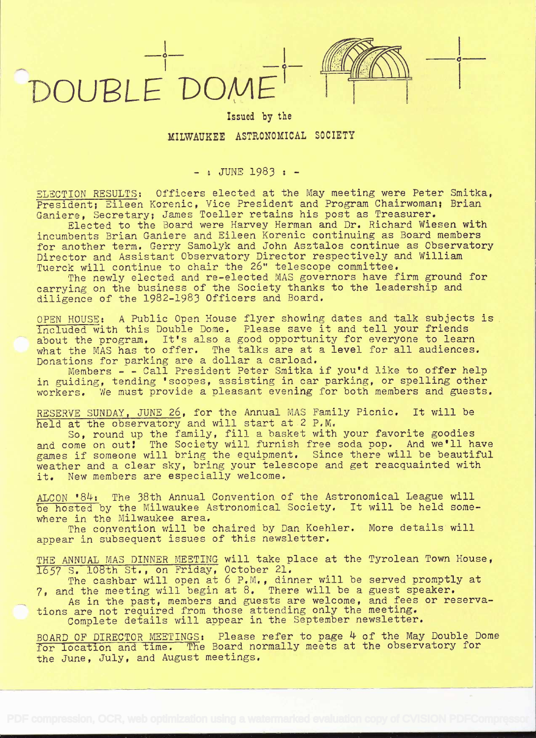



## Issued by the MILWAUKEE ASTRONOMICAL SOCIETY

 $-$ : JUNE 1983 :  $-$ 

ELECTION RESULTS: Officers elected at the May meeting were Peter Smitka, President; Eileen Korenic, Vice President and Program Chairwoman; Brian Ganiere, Secretary; James Toeller retains his post as Treasurer.

Elected to the Board were Harvey Herman and Dr. Richard Wiesen with incumbents Brian Ganiere and Eileen Korenic continuing as Board members for another term. Gerry Samolyk and John Asztalos continue as Observatory Director and Assistant Observatory Director respectively and William Tuerck will continue to chair the 26" telescope committee.

The newly elected and re-elected MAS governors have firm ground for carrying on the business of the Society thanks to the leadership and diligence of the 1982-1983 Officers and Board.

OPEN HOUSE: A Public Open House flyer showing dates and talk subjects is included with this Double Dome. Please save it and tell your friends about the program. It's also a good opportunity for everyone to learn what the MAS has to offer. The talks are at a level for all audiences. Donations for parking are a dollar a carload.

Members - - Call President Peter Smitka if you'd like to offer help in guiding, tending 'scopes, assisting in car parking, or spelling other  $\qquad \qquad \mid$ workers. We must provide a pleasant evening for both members and guests.

RESERVE SUNDAY, JUNE 26, for the Annual MAS Family Picnic. It will be held at the observatory and will start at 2 P.M.

So, round up the family, fill a basket with your favorite goodies and come on out! The Society will furnish free soda pop. And we'll have games if someone will bring the equipment. Since there will be beautiful weather and a clear sky, bring your telescope and get reacquainted with it. New members are especially welcome.

ALCON '84: The 38th Annual Convention of the Astronomical League will be hosted by the Milwaukee Astronomical Society. It will be held somewhere in the Milwaukee area,

The convention will be chaired by Dan Koehler. More details will appear in subsequent issues of this newsletter,

THE ANNUAL MAS DINNER MEETING will take place at the Tyrolean Town House, 1657 S. 108th St., on Friday, October 21.

The cashbar will open at 6 P.M., dinner will be served promptly at 7, and the meeting will begin at 8. There will be a guest speaker.

As in the past, members and guests are welcome, and fees or reservations are not required from those attending only the meeting.

Complete details will appear in the September newsletter.

BOARD OF DIRECTOR MEETINGS: Please refer to page 4 of the May Double Dome for location and time. The Board normally meets at the observatory for the June, July, and August meetings.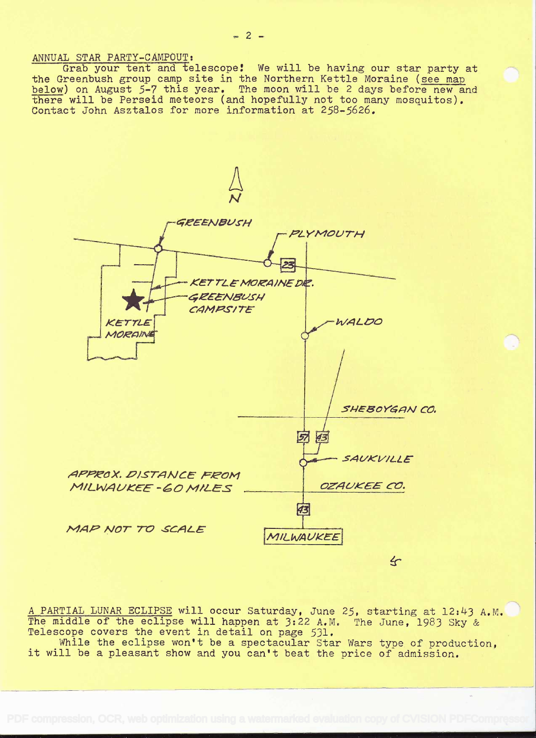ANNUAL STAR PARTY-CAMPOUT:

Grab your tent and telescope! We will be having our star party at the Greenbush group camp site in the Northern Kettle Moraine (see map<br>below) on August 5-7 this year. The moon will be 2 days before new and there will be Perseid meteors (and hopefully not too many mosquitos). Contact John Asztalos for more information at 258-5626.



A PARTIAL LUNAR ECLIPSE will occur Saturday, June 25, starting at 12:43 A.M. The middle of the eclipse will happen at 3:22 A.M. The June, 1983 Sky & Telescope covers the event in detail on page 531.

While the eclipse won't be a spectacular Star Wars type of production, it will be a pleasant show and you can't beat the price of admission.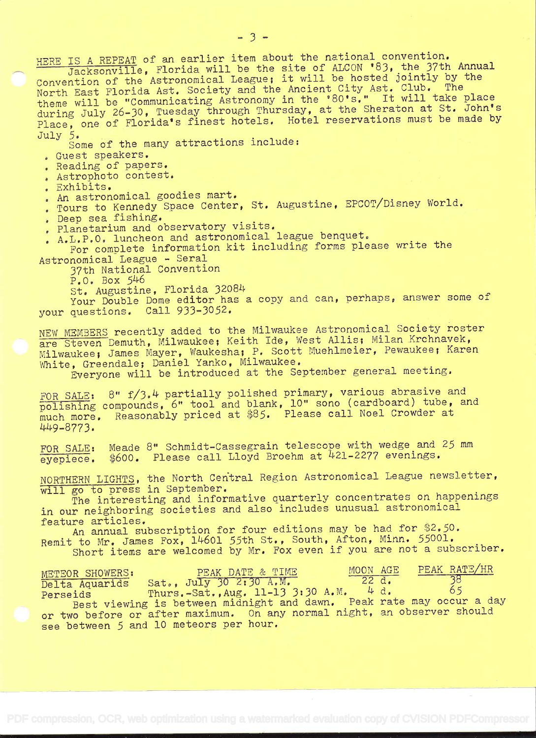HERE IS A REPEAT of an earlier item about the national convention.<br>Jacksonville, Florida will be the site of ALCON '83, the 37th Annual Convention of the Astronomical League; it will be hosted jointly by the North East Florida Ast. Society and the Ancient City Ast. Club. The theme will be "Communicating Astronomy in the '80's." It will take place during July 26-30, Tuesday through Thursday, at the Sheraton at St. John's Place, one of Florida's finest hotels. Hotel reservations must be made by July 5.

Some of the many attractions include:

Guest speakers.

. Reading of papers.

- . Astrophoto contest.
- . Exhibits.

. An astronomical goodies mart.

. Tours to Kennedy Space Center, St. Augustine, EPCOT/Disney World.

- . Deep sea fishing.
- . Planetarium and observatory visits.

. A.L.P.O. luncheon and astronomical league benquet.

For complete information kit including forms please write the Astronomical League - Serai

37th National Convention

 $P.0. Box 546$ 

St. Augustine, Florida 32084

Your Double Dome editor has a copy and can, perhaps, answer some of your questions. Call 933-3052.

NEW MEMBERS recently added to the Milwaukee Astronomical Society roster are Steven Demuth, Milwaukee; Keith Ide, West Allis; Milan Krchnavek, Milwaukee; James Mayer, Waukesha; P. Scott Muehlmeier, Pewaukee; Karen White, Greendale; Daniel Yanko, Milwaukee.

Everyone will be introduced at the September general meeting.

FOR SALE: 8"  $f/3.4$  partially polished primary, various abrasive and polishing compounds, 6" tool and blank, 10" sono (cardboard) tube, and much more. Reasonably priced at 85. Please call Noel Crowder at 4+9-8773.

FOR SALE: Meade 8" Schmidt-Cassegrain telescope with wedge and 25 mm  $e$ yepiece. \$600. Please call Lloyd Broehm at  $421-2277$  evenings.

NORTHERN LIGHTS, the North Central Region Astronomical League newsletter, will go to press in September.

The interesting and informative quarterly concentrates on happenings in our neighboring societies and also includes unusual astronomical<br>feature articles.

feature articles.<br>An annual subscription for four editions may be had for \$2.50. Remit to Mr. James Fox, 14601 55th St., South, Afton, Minn. 55001. Short items are welcomed by Mr. Fox even if you are not a subscriber.

| METEOR SHOWERS: | PEAK DATE & TIME                                                                                               | MOON AGE | PEAK RATE/HR |
|-----------------|----------------------------------------------------------------------------------------------------------------|----------|--------------|
| Delta Aquarids  | Sat., July 30 2:30 A.M.                                                                                        | 22 d.    | 38<br>65     |
| Perseids        | Thurs.-Sat., Aug. 11-13 3:30 A.M. 4 d.<br>Best viewing is between midnight and dawn. Peak rate may occur a day |          |              |
|                 | or two before or after maximum. On any normal night, an observer should                                        |          |              |
|                 | see between 5 and 10 meteors per hour.                                                                         |          |              |